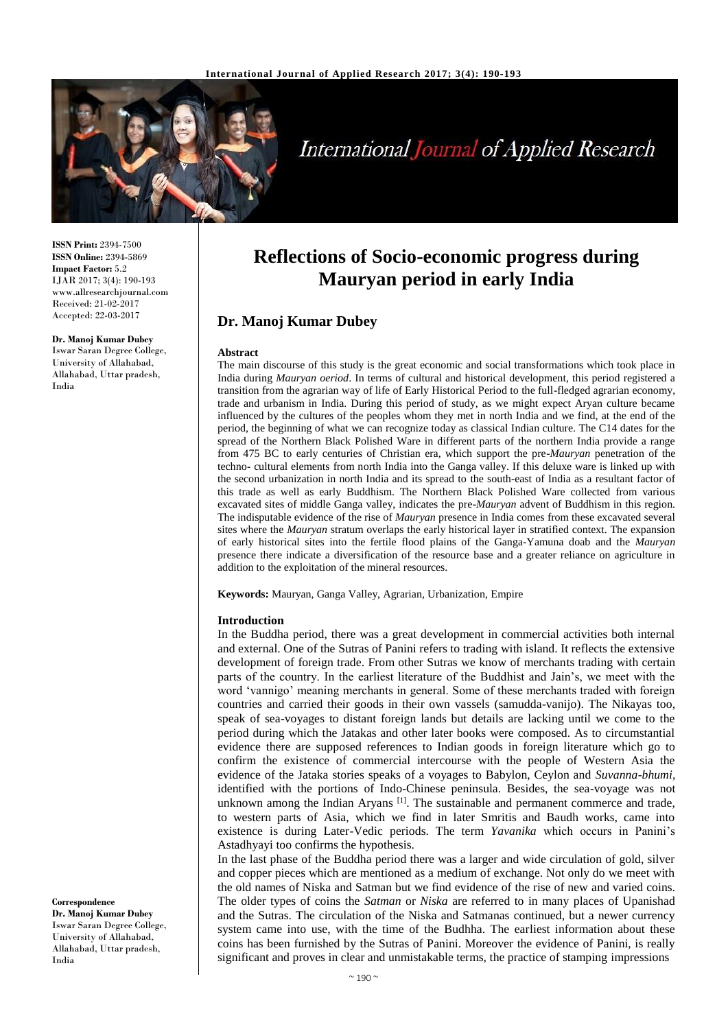

# **International Journal of Applied Research**

**ISSN Print:** 2394-7500 **ISSN Online:** 2394-5869 **Impact Factor:** 5.2 IJAR 2017; 3(4): 190-193 www.allresearchjournal.com Received: 21-02-2017 Accepted: 22-03-2017

**Dr. Manoj Kumar Dubey** Iswar Saran Degree College, University of Allahabad, Allahabad, Uttar pradesh, India

**Correspondence Dr. Manoj Kumar Dubey** Iswar Saran Degree College, University of Allahabad, Allahabad, Uttar pradesh, India

## **Reflections of Socio-economic progress during Mauryan period in early India**

### **Dr. Manoj Kumar Dubey**

#### **Abstract**

The main discourse of this study is the great economic and social transformations which took place in India during *Mauryan oeriod*. In terms of cultural and historical development, this period registered a transition from the agrarian way of life of Early Historical Period to the full-fledged agrarian economy, trade and urbanism in India. During this period of study, as we might expect Aryan culture became influenced by the cultures of the peoples whom they met in north India and we find, at the end of the period, the beginning of what we can recognize today as classical Indian culture. The C14 dates for the spread of the Northern Black Polished Ware in different parts of the northern India provide a range from 475 BC to early centuries of Christian era, which support the pre-*Mauryan* penetration of the techno- cultural elements from north India into the Ganga valley. If this deluxe ware is linked up with the second urbanization in north India and its spread to the south-east of India as a resultant factor of this trade as well as early Buddhism. The Northern Black Polished Ware collected from various excavated sites of middle Ganga valley, indicates the pre-*Mauryan* advent of Buddhism in this region. The indisputable evidence of the rise of *Mauryan* presence in India comes from these excavated several sites where the *Mauryan* stratum overlaps the early historical layer in stratified context. The expansion of early historical sites into the fertile flood plains of the Ganga-Yamuna doab and the *Mauryan*  presence there indicate a diversification of the resource base and a greater reliance on agriculture in addition to the exploitation of the mineral resources.

**Keywords:** Mauryan, Ganga Valley, Agrarian, Urbanization, Empire

#### **Introduction**

In the Buddha period, there was a great development in commercial activities both internal and external. One of the Sutras of Panini refers to trading with island. It reflects the extensive development of foreign trade. From other Sutras we know of merchants trading with certain parts of the country. In the earliest literature of the Buddhist and Jain's, we meet with the word 'vannigo' meaning merchants in general. Some of these merchants traded with foreign countries and carried their goods in their own vassels (samudda-vanijo). The Nikayas too, speak of sea-voyages to distant foreign lands but details are lacking until we come to the period during which the Jatakas and other later books were composed. As to circumstantial evidence there are supposed references to Indian goods in foreign literature which go to confirm the existence of commercial intercourse with the people of Western Asia the evidence of the Jataka stories speaks of a voyages to Babylon, Ceylon and *Suvanna-bhumi*, identified with the portions of Indo-Chinese peninsula. Besides, the sea-voyage was not unknown among the Indian Aryans<sup>[1]</sup>. The sustainable and permanent commerce and trade, to western parts of Asia, which we find in later Smritis and Baudh works, came into existence is during Later-Vedic periods. The term *Yavanika* which occurs in Panini's Astadhyayi too confirms the hypothesis.

In the last phase of the Buddha period there was a larger and wide circulation of gold, silver and copper pieces which are mentioned as a medium of exchange. Not only do we meet with the old names of Niska and Satman but we find evidence of the rise of new and varied coins. The older types of coins the *Satman* or *Niska* are referred to in many places of Upanishad and the Sutras. The circulation of the Niska and Satmanas continued, but a newer currency system came into use, with the time of the Budhha. The earliest information about these coins has been furnished by the Sutras of Panini. Moreover the evidence of Panini, is really significant and proves in clear and unmistakable terms, the practice of stamping impressions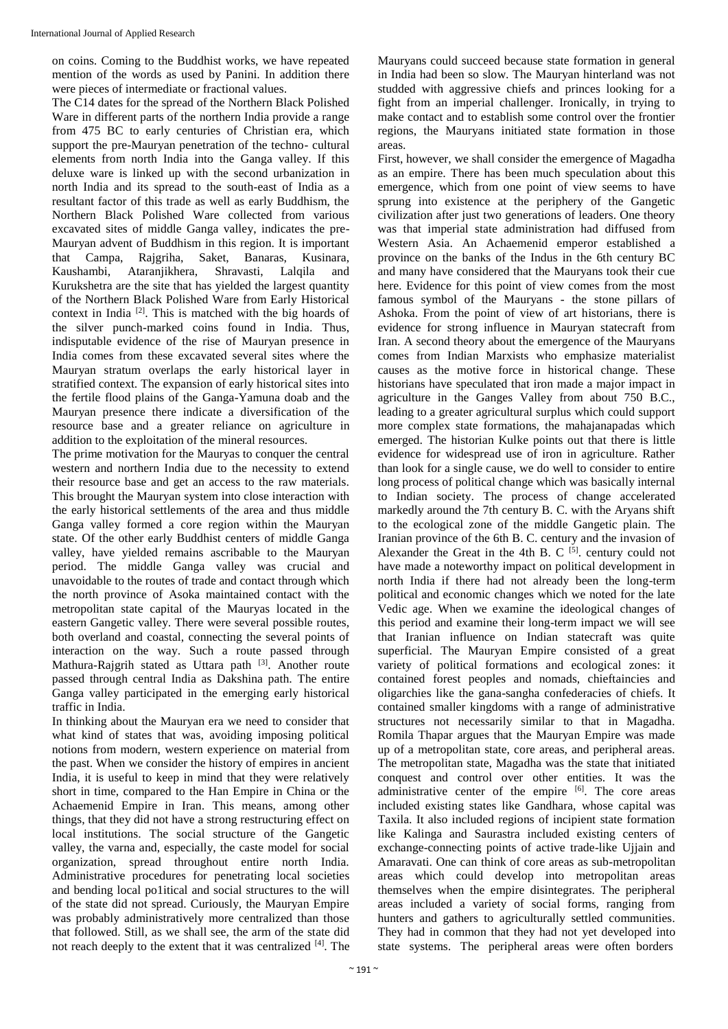on coins. Coming to the Buddhist works, we have repeated mention of the words as used by Panini. In addition there were pieces of intermediate or fractional values.

The C14 dates for the spread of the Northern Black Polished Ware in different parts of the northern India provide a range from 475 BC to early centuries of Christian era, which support the pre-Mauryan penetration of the techno- cultural elements from north India into the Ganga valley. If this deluxe ware is linked up with the second urbanization in north India and its spread to the south-east of India as a resultant factor of this trade as well as early Buddhism, the Northern Black Polished Ware collected from various excavated sites of middle Ganga valley, indicates the pre-Mauryan advent of Buddhism in this region. It is important that Campa, Rajgriha, Saket, Banaras, Kusinara, Kaushambi, Ataranjikhera, Shravasti, Lalqila and Kurukshetra are the site that has yielded the largest quantity of the Northern Black Polished Ware from Early Historical context in India<sup>[2]</sup>. This is matched with the big hoards of the silver punch-marked coins found in India. Thus, indisputable evidence of the rise of Mauryan presence in India comes from these excavated several sites where the Mauryan stratum overlaps the early historical layer in stratified context. The expansion of early historical sites into the fertile flood plains of the Ganga-Yamuna doab and the Mauryan presence there indicate a diversification of the resource base and a greater reliance on agriculture in addition to the exploitation of the mineral resources.

The prime motivation for the Mauryas to conquer the central western and northern India due to the necessity to extend their resource base and get an access to the raw materials. This brought the Mauryan system into close interaction with the early historical settlements of the area and thus middle Ganga valley formed a core region within the Mauryan state. Of the other early Buddhist centers of middle Ganga valley, have yielded remains ascribable to the Mauryan period. The middle Ganga valley was crucial and unavoidable to the routes of trade and contact through which the north province of Asoka maintained contact with the metropolitan state capital of the Mauryas located in the eastern Gangetic valley. There were several possible routes, both overland and coastal, connecting the several points of interaction on the way. Such a route passed through Mathura-Rajgrih stated as Uttara path <sup>[3]</sup>. Another route passed through central India as Dakshina path. The entire Ganga valley participated in the emerging early historical traffic in India.

In thinking about the Mauryan era we need to consider that what kind of states that was, avoiding imposing political notions from modern, western experience on material from the past. When we consider the history of empires in ancient India, it is useful to keep in mind that they were relatively short in time, compared to the Han Empire in China or the Achaemenid Empire in Iran. This means, among other things, that they did not have a strong restructuring effect on local institutions. The social structure of the Gangetic valley, the varna and, especially, the caste model for social organization, spread throughout entire north India. Administrative procedures for penetrating local societies and bending local po1itical and social structures to the will of the state did not spread. Curiously, the Mauryan Empire was probably administratively more centralized than those that followed. Still, as we shall see, the arm of the state did not reach deeply to the extent that it was centralized [4]. The

Mauryans could succeed because state formation in general in India had been so slow. The Mauryan hinterland was not studded with aggressive chiefs and princes looking for a fight from an imperial challenger. Ironically, in trying to make contact and to establish some control over the frontier regions, the Mauryans initiated state formation in those areas.

First, however, we shall consider the emergence of Magadha as an empire. There has been much speculation about this emergence, which from one point of view seems to have sprung into existence at the periphery of the Gangetic civilization after just two generations of leaders. One theory was that imperial state administration had diffused from Western Asia. An Achaemenid emperor established a province on the banks of the Indus in the 6th century BC and many have considered that the Mauryans took their cue here. Evidence for this point of view comes from the most famous symbol of the Mauryans - the stone pillars of Ashoka. From the point of view of art historians, there is evidence for strong influence in Mauryan statecraft from Iran. A second theory about the emergence of the Mauryans comes from Indian Marxists who emphasize materialist causes as the motive force in historical change. These historians have speculated that iron made a major impact in agriculture in the Ganges Valley from about 750 B.C., leading to a greater agricultural surplus which could support more complex state formations, the mahajanapadas which emerged. The historian Kulke points out that there is little evidence for widespread use of iron in agriculture. Rather than look for a single cause, we do well to consider to entire long process of political change which was basically internal to Indian society. The process of change accelerated markedly around the 7th century B. C. with the Aryans shift to the ecological zone of the middle Gangetic plain. The Iranian province of the 6th B. C. century and the invasion of Alexander the Great in the 4th B. C  $[5]$ . century could not have made a noteworthy impact on political development in north India if there had not already been the long-term political and economic changes which we noted for the late Vedic age. When we examine the ideological changes of this period and examine their long-term impact we will see that Iranian influence on Indian statecraft was quite superficial. The Mauryan Empire consisted of a great variety of political formations and ecological zones: it contained forest peoples and nomads, chieftaincies and oligarchies like the gana-sangha confederacies of chiefs. It contained smaller kingdoms with a range of administrative structures not necessarily similar to that in Magadha. Romila Thapar argues that the Mauryan Empire was made up of a metropolitan state, core areas, and peripheral areas. The metropolitan state, Magadha was the state that initiated conquest and control over other entities. It was the administrative center of the empire [6]. The core areas included existing states like Gandhara, whose capital was Taxila. It also included regions of incipient state formation like Kalinga and Saurastra included existing centers of exchange-connecting points of active trade-like Ujjain and Amaravati. One can think of core areas as sub-metropolitan areas which could develop into metropolitan areas themselves when the empire disintegrates. The peripheral areas included a variety of social forms, ranging from hunters and gathers to agriculturally settled communities. They had in common that they had not yet developed into state systems. The peripheral areas were often borders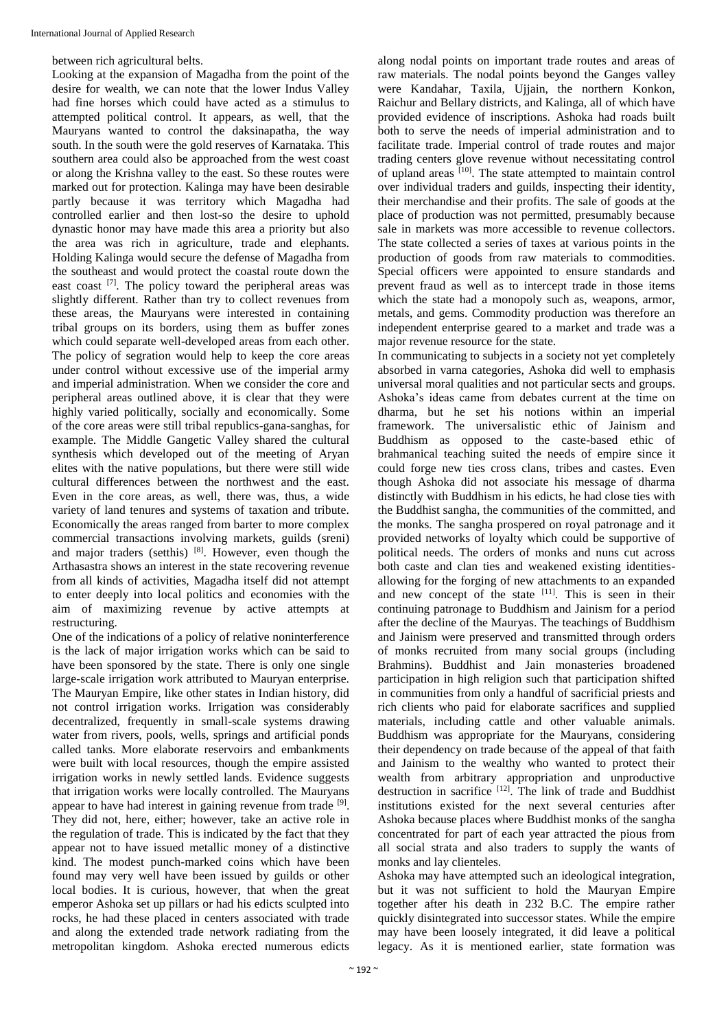#### between rich agricultural belts.

Looking at the expansion of Magadha from the point of the desire for wealth, we can note that the lower Indus Valley had fine horses which could have acted as a stimulus to attempted political control. It appears, as well, that the Mauryans wanted to control the daksinapatha, the way south. In the south were the gold reserves of Karnataka. This southern area could also be approached from the west coast or along the Krishna valley to the east. So these routes were marked out for protection. Kalinga may have been desirable partly because it was territory which Magadha had controlled earlier and then lost-so the desire to uphold dynastic honor may have made this area a priority but also the area was rich in agriculture, trade and elephants. Holding Kalinga would secure the defense of Magadha from the southeast and would protect the coastal route down the east coast <sup>[7]</sup>. The policy toward the peripheral areas was slightly different. Rather than try to collect revenues from these areas, the Mauryans were interested in containing tribal groups on its borders, using them as buffer zones which could separate well-developed areas from each other. The policy of segration would help to keep the core areas under control without excessive use of the imperial army and imperial administration. When we consider the core and peripheral areas outlined above, it is clear that they were highly varied politically, socially and economically. Some of the core areas were still tribal republics-gana-sanghas, for example. The Middle Gangetic Valley shared the cultural synthesis which developed out of the meeting of Aryan elites with the native populations, but there were still wide cultural differences between the northwest and the east. Even in the core areas, as well, there was, thus, a wide variety of land tenures and systems of taxation and tribute. Economically the areas ranged from barter to more complex commercial transactions involving markets, guilds (sreni) and major traders (setthis)  $[8]$ . However, even though the Arthasastra shows an interest in the state recovering revenue from all kinds of activities, Magadha itself did not attempt to enter deeply into local politics and economies with the aim of maximizing revenue by active attempts at restructuring.

One of the indications of a policy of relative noninterference is the lack of major irrigation works which can be said to have been sponsored by the state. There is only one single large-scale irrigation work attributed to Mauryan enterprise. The Mauryan Empire, like other states in Indian history, did not control irrigation works. Irrigation was considerably decentralized, frequently in small-scale systems drawing water from rivers, pools, wells, springs and artificial ponds called tanks. More elaborate reservoirs and embankments were built with local resources, though the empire assisted irrigation works in newly settled lands. Evidence suggests that irrigation works were locally controlled. The Mauryans appear to have had interest in gaining revenue from trade [9]. They did not, here, either; however, take an active role in the regulation of trade. This is indicated by the fact that they appear not to have issued metallic money of a distinctive kind. The modest punch-marked coins which have been found may very well have been issued by guilds or other local bodies. It is curious, however, that when the great emperor Ashoka set up pillars or had his edicts sculpted into rocks, he had these placed in centers associated with trade and along the extended trade network radiating from the metropolitan kingdom. Ashoka erected numerous edicts

along nodal points on important trade routes and areas of raw materials. The nodal points beyond the Ganges valley were Kandahar, Taxila, Ujjain, the northern Konkon, Raichur and Bellary districts, and Kalinga, all of which have provided evidence of inscriptions. Ashoka had roads built both to serve the needs of imperial administration and to facilitate trade. Imperial control of trade routes and major trading centers glove revenue without necessitating control of upland areas [10]. The state attempted to maintain control over individual traders and guilds, inspecting their identity, their merchandise and their profits. The sale of goods at the place of production was not permitted, presumably because sale in markets was more accessible to revenue collectors. The state collected a series of taxes at various points in the production of goods from raw materials to commodities. Special officers were appointed to ensure standards and prevent fraud as well as to intercept trade in those items which the state had a monopoly such as, weapons, armor, metals, and gems. Commodity production was therefore an independent enterprise geared to a market and trade was a major revenue resource for the state.

In communicating to subjects in a society not yet completely absorbed in varna categories, Ashoka did well to emphasis universal moral qualities and not particular sects and groups. Ashoka's ideas came from debates current at the time on dharma, but he set his notions within an imperial framework. The universalistic ethic of Jainism and Buddhism as opposed to the caste-based ethic of brahmanical teaching suited the needs of empire since it could forge new ties cross clans, tribes and castes. Even though Ashoka did not associate his message of dharma distinctly with Buddhism in his edicts, he had close ties with the Buddhist sangha, the communities of the committed, and the monks. The sangha prospered on royal patronage and it provided networks of loyalty which could be supportive of political needs. The orders of monks and nuns cut across both caste and clan ties and weakened existing identitiesallowing for the forging of new attachments to an expanded and new concept of the state [11]. This is seen in their continuing patronage to Buddhism and Jainism for a period after the decline of the Mauryas. The teachings of Buddhism and Jainism were preserved and transmitted through orders of monks recruited from many social groups (including Brahmins). Buddhist and Jain monasteries broadened participation in high religion such that participation shifted in communities from only a handful of sacrificial priests and rich clients who paid for elaborate sacrifices and supplied materials, including cattle and other valuable animals. Buddhism was appropriate for the Mauryans, considering their dependency on trade because of the appeal of that faith and Jainism to the wealthy who wanted to protect their wealth from arbitrary appropriation and unproductive destruction in sacrifice <sup>[12]</sup>. The link of trade and Buddhist institutions existed for the next several centuries after Ashoka because places where Buddhist monks of the sangha concentrated for part of each year attracted the pious from all social strata and also traders to supply the wants of monks and lay clienteles.

Ashoka may have attempted such an ideological integration, but it was not sufficient to hold the Mauryan Empire together after his death in 232 B.C. The empire rather quickly disintegrated into successor states. While the empire may have been loosely integrated, it did leave a political legacy. As it is mentioned earlier, state formation was